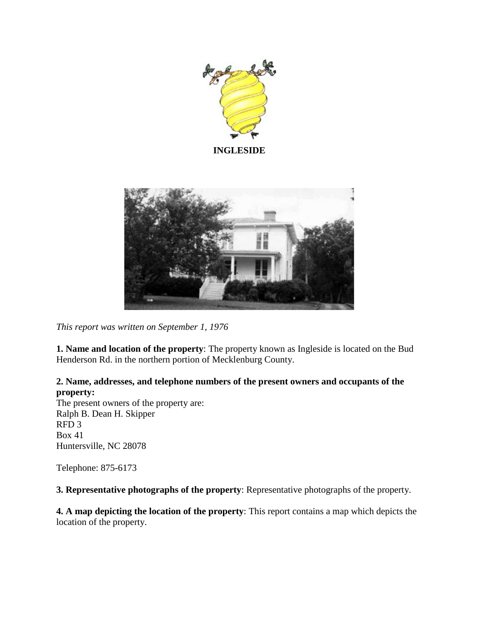



*This report was written on September 1, 1976*

**1. Name and location of the property**: The property known as Ingleside is located on the Bud Henderson Rd. in the northern portion of Mecklenburg County.

## **2. Name, addresses, and telephone numbers of the present owners and occupants of the property:**

The present owners of the property are: Ralph B. Dean H. Skipper RFD 3 Box 41 Huntersville, NC 28078

Telephone: 875-6173

**3. Representative photographs of the property**: Representative photographs of the property.

**4. A map depicting the location of the property**: This report contains a map which depicts the location of the property.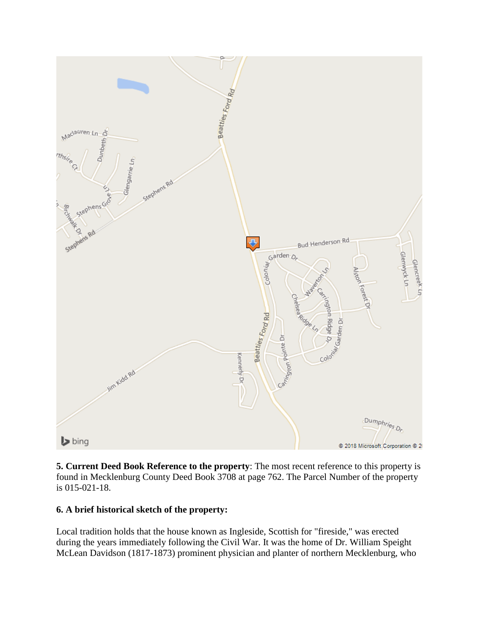

**5. Current Deed Book Reference to the property**: The most recent reference to this property is found in Mecklenburg County Deed Book 3708 at page 762. The Parcel Number of the property is 015-021-18.

## **6. A brief historical sketch of the property:**

Local tradition holds that the house known as Ingleside, Scottish for "fireside," was erected during the years immediately following the Civil War. It was the home of Dr. William Speight McLean Davidson (1817-1873) prominent physician and planter of northern Mecklenburg, who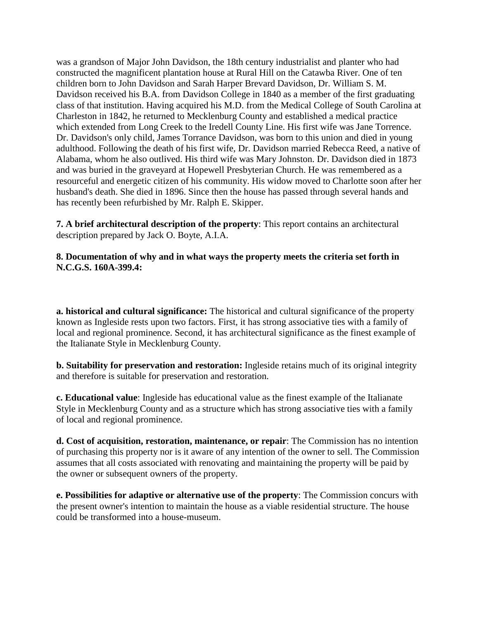was a grandson of Major John Davidson, the 18th century industrialist and planter who had constructed the magnificent plantation house at Rural Hill on the Catawba River. One of ten children born to John Davidson and Sarah Harper Brevard Davidson, Dr. William S. M. Davidson received his B.A. from Davidson College in 1840 as a member of the first graduating class of that institution. Having acquired his M.D. from the Medical College of South Carolina at Charleston in 1842, he returned to Mecklenburg County and established a medical practice which extended from Long Creek to the Iredell County Line. His first wife was Jane Torrence. Dr. Davidson's only child, James Torrance Davidson, was born to this union and died in young adulthood. Following the death of his first wife, Dr. Davidson married Rebecca Reed, a native of Alabama, whom he also outlived. His third wife was Mary Johnston. Dr. Davidson died in 1873 and was buried in the graveyard at Hopewell Presbyterian Church. He was remembered as a resourceful and energetic citizen of his community. His widow moved to Charlotte soon after her husband's death. She died in 1896. Since then the house has passed through several hands and has recently been refurbished by Mr. Ralph E. Skipper.

**7. A brief architectural description of the property**: This report contains an architectural description prepared by Jack O. Boyte, A.I.A.

**8. Documentation of why and in what ways the property meets the criteria set forth in N.C.G.S. 160A-399.4:**

**a. historical and cultural significance:** The historical and cultural significance of the property known as Ingleside rests upon two factors. First, it has strong associative ties with a family of local and regional prominence. Second, it has architectural significance as the finest example of the Italianate Style in Mecklenburg County.

**b. Suitability for preservation and restoration:** Ingleside retains much of its original integrity and therefore is suitable for preservation and restoration.

**c. Educational value**: Ingleside has educational value as the finest example of the Italianate Style in Mecklenburg County and as a structure which has strong associative ties with a family of local and regional prominence.

**d. Cost of acquisition, restoration, maintenance, or repair**: The Commission has no intention of purchasing this property nor is it aware of any intention of the owner to sell. The Commission assumes that all costs associated with renovating and maintaining the property will be paid by the owner or subsequent owners of the property.

**e. Possibilities for adaptive or alternative use of the property**: The Commission concurs with the present owner's intention to maintain the house as a viable residential structure. The house could be transformed into a house-museum.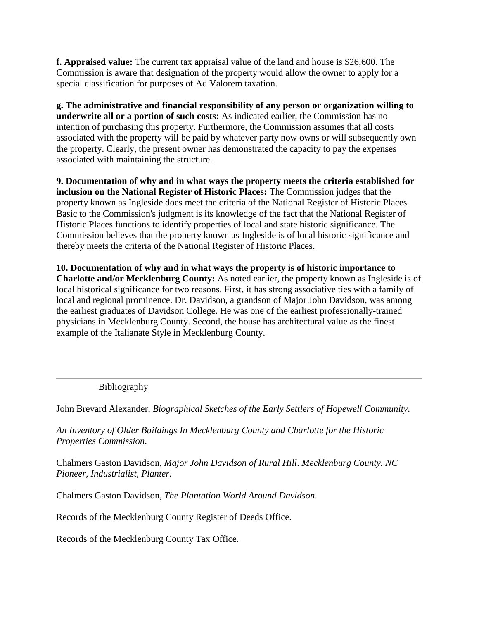**f. Appraised value:** The current tax appraisal value of the land and house is \$26,600. The Commission is aware that designation of the property would allow the owner to apply for a special classification for purposes of Ad Valorem taxation.

**g. The administrative and financial responsibility of any person or organization willing to underwrite all or a portion of such costs:** As indicated earlier, the Commission has no intention of purchasing this property. Furthermore, the Commission assumes that all costs associated with the property will be paid by whatever party now owns or will subsequently own the property. Clearly, the present owner has demonstrated the capacity to pay the expenses associated with maintaining the structure.

**9. Documentation of why and in what ways the property meets the criteria established for inclusion on the National Register of Historic Places:** The Commission judges that the property known as Ingleside does meet the criteria of the National Register of Historic Places. Basic to the Commission's judgment is its knowledge of the fact that the National Register of Historic Places functions to identify properties of local and state historic significance. The Commission believes that the property known as Ingleside is of local historic significance and thereby meets the criteria of the National Register of Historic Places.

**10. Documentation of why and in what ways the property is of historic importance to Charlotte and/or Mecklenburg County:** As noted earlier, the property known as Ingleside is of local historical significance for two reasons. First, it has strong associative ties with a family of local and regional prominence. Dr. Davidson, a grandson of Major John Davidson, was among the earliest graduates of Davidson College. He was one of the earliest professionally-trained physicians in Mecklenburg County. Second, the house has architectural value as the finest example of the Italianate Style in Mecklenburg County.

Bibliography

John Brevard Alexander, *Biographical Sketches of the Early Settlers of Hopewell Community*.

*An Inventory of Older Buildings In Mecklenburg County and Charlotte for the Historic Properties Commission*.

Chalmers Gaston Davidson, *Major John Davidson of Rural Hill*. *Mecklenburg County. NC Pioneer, Industrialist, Planter*.

Chalmers Gaston Davidson, *The Plantation World Around Davidson*.

Records of the Mecklenburg County Register of Deeds Office.

Records of the Mecklenburg County Tax Office.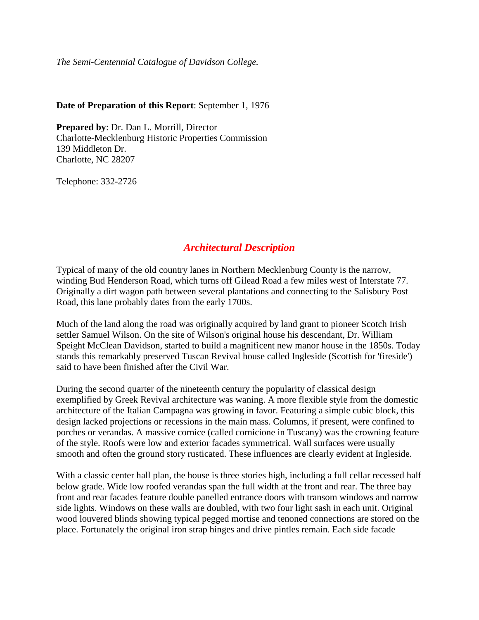*The Semi-Centennial Catalogue of Davidson College.*

## **Date of Preparation of this Report**: September 1, 1976

**Prepared by**: Dr. Dan L. Morrill, Director Charlotte-Mecklenburg Historic Properties Commission 139 Middleton Dr. Charlotte, NC 28207

Telephone: 332-2726

## *Architectural Description*

Typical of many of the old country lanes in Northern Mecklenburg County is the narrow, winding Bud Henderson Road, which turns off Gilead Road a few miles west of Interstate 77. Originally a dirt wagon path between several plantations and connecting to the Salisbury Post Road, this lane probably dates from the early 1700s.

Much of the land along the road was originally acquired by land grant to pioneer Scotch Irish settler Samuel Wilson. On the site of Wilson's original house his descendant, Dr. William Speight McClean Davidson, started to build a magnificent new manor house in the 1850s. Today stands this remarkably preserved Tuscan Revival house called Ingleside (Scottish for 'fireside') said to have been finished after the Civil War.

During the second quarter of the nineteenth century the popularity of classical design exemplified by Greek Revival architecture was waning. A more flexible style from the domestic architecture of the Italian Campagna was growing in favor. Featuring a simple cubic block, this design lacked projections or recessions in the main mass. Columns, if present, were confined to porches or verandas. A massive cornice (called cornicione in Tuscany) was the crowning feature of the style. Roofs were low and exterior facades symmetrical. Wall surfaces were usually smooth and often the ground story rusticated. These influences are clearly evident at Ingleside.

With a classic center hall plan, the house is three stories high, including a full cellar recessed half below grade. Wide low roofed verandas span the full width at the front and rear. The three bay front and rear facades feature double panelled entrance doors with transom windows and narrow side lights. Windows on these walls are doubled, with two four light sash in each unit. Original wood louvered blinds showing typical pegged mortise and tenoned connections are stored on the place. Fortunately the original iron strap hinges and drive pintles remain. Each side facade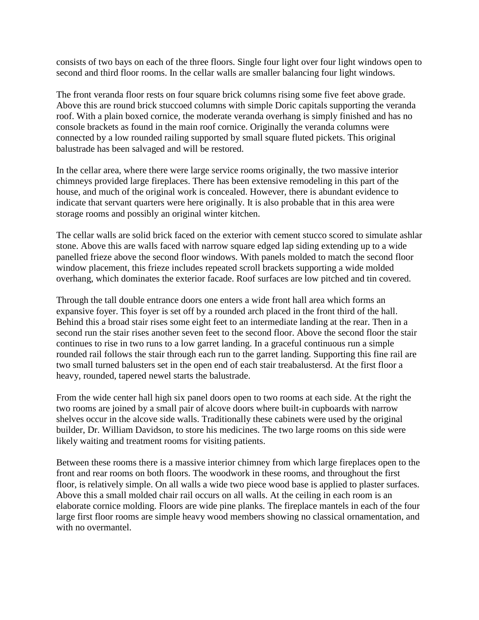consists of two bays on each of the three floors. Single four light over four light windows open to second and third floor rooms. In the cellar walls are smaller balancing four light windows.

The front veranda floor rests on four square brick columns rising some five feet above grade. Above this are round brick stuccoed columns with simple Doric capitals supporting the veranda roof. With a plain boxed cornice, the moderate veranda overhang is simply finished and has no console brackets as found in the main roof cornice. Originally the veranda columns were connected by a low rounded railing supported by small square fluted pickets. This original balustrade has been salvaged and will be restored.

In the cellar area, where there were large service rooms originally, the two massive interior chimneys provided large fireplaces. There has been extensive remodeling in this part of the house, and much of the original work is concealed. However, there is abundant evidence to indicate that servant quarters were here originally. It is also probable that in this area were storage rooms and possibly an original winter kitchen.

The cellar walls are solid brick faced on the exterior with cement stucco scored to simulate ashlar stone. Above this are walls faced with narrow square edged lap siding extending up to a wide panelled frieze above the second floor windows. With panels molded to match the second floor window placement, this frieze includes repeated scroll brackets supporting a wide molded overhang, which dominates the exterior facade. Roof surfaces are low pitched and tin covered.

Through the tall double entrance doors one enters a wide front hall area which forms an expansive foyer. This foyer is set off by a rounded arch placed in the front third of the hall. Behind this a broad stair rises some eight feet to an intermediate landing at the rear. Then in a second run the stair rises another seven feet to the second floor. Above the second floor the stair continues to rise in two runs to a low garret landing. In a graceful continuous run a simple rounded rail follows the stair through each run to the garret landing. Supporting this fine rail are two small turned balusters set in the open end of each stair treabalustersd. At the first floor a heavy, rounded, tapered newel starts the balustrade.

From the wide center hall high six panel doors open to two rooms at each side. At the right the two rooms are joined by a small pair of alcove doors where built-in cupboards with narrow shelves occur in the alcove side walls. Traditionally these cabinets were used by the original builder, Dr. William Davidson, to store his medicines. The two large rooms on this side were likely waiting and treatment rooms for visiting patients.

Between these rooms there is a massive interior chimney from which large fireplaces open to the front and rear rooms on both floors. The woodwork in these rooms, and throughout the first floor, is relatively simple. On all walls a wide two piece wood base is applied to plaster surfaces. Above this a small molded chair rail occurs on all walls. At the ceiling in each room is an elaborate cornice molding. Floors are wide pine planks. The fireplace mantels in each of the four large first floor rooms are simple heavy wood members showing no classical ornamentation, and with no overmantel.